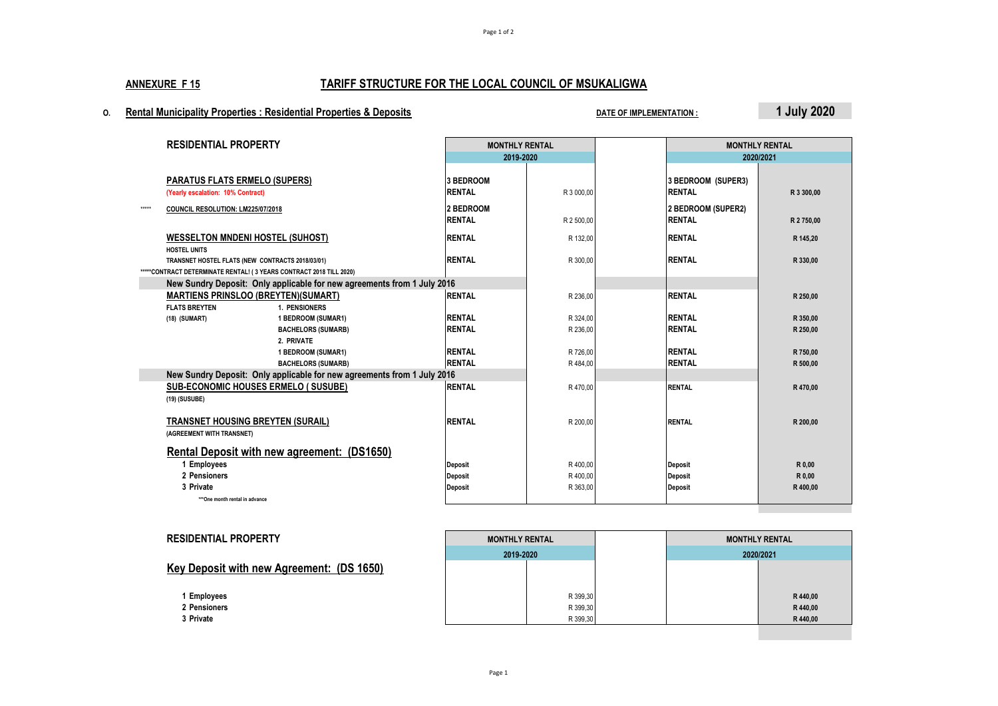Page 1 of 2

# **ANNEXURE F 15 TARIFF STRUCTURE FOR THE LOCAL COUNCIL OF MSUKALIGWA**

# **O. Rental Municipality Properties : Residential Properties & Deposits DATE OF IMPLEMENTATION : 1 July 2020**

|         | <b>RESIDENTIAL PROPERTY</b>                                                                                                                    |                                                                         | <b>MONTHLY RENTAL</b>             |            |                                     | <b>MONTHLY RENTAL</b> |  |
|---------|------------------------------------------------------------------------------------------------------------------------------------------------|-------------------------------------------------------------------------|-----------------------------------|------------|-------------------------------------|-----------------------|--|
|         |                                                                                                                                                |                                                                         | 2019-2020                         |            | 2020/2021                           |                       |  |
|         | <b>PARATUS FLATS ERMELO (SUPERS)</b><br>(Yearly escalation: 10% Contract)                                                                      |                                                                         | <b>3 BEDROOM</b><br><b>RENTAL</b> | R 3 000.00 | 3 BEDROOM (SUPER3)<br><b>RENTAL</b> | R 3 300.00            |  |
| $*****$ | COUNCIL RESOLUTION: LM225/07/2018                                                                                                              |                                                                         | 2 BEDROOM<br><b>RENTAL</b>        | R 2 500,00 | 2 BEDROOM (SUPER2)<br><b>RENTAL</b> | R 2750,00             |  |
|         | <b>WESSELTON MNDENI HOSTEL (SUHOST)</b>                                                                                                        |                                                                         | <b>RENTAL</b>                     | R 132,00   | <b>RENTAL</b>                       | R 145,20              |  |
|         | <b>HOSTEL UNITS</b><br>TRANSNET HOSTEL FLATS (NEW CONTRACTS 2018/03/01)<br>*****CONTRACT DETERMINATE RENTAL! (3 YEARS CONTRACT 2018 TILL 2020) |                                                                         | <b>RENTAL</b>                     | R 300,00   | <b>RENTAL</b>                       | R 330,00              |  |
|         |                                                                                                                                                | New Sundry Deposit: Only applicable for new agreements from 1 July 2016 |                                   |            |                                     |                       |  |
|         | <b>MARTIENS PRINSLOO (BREYTEN)(SUMART)</b>                                                                                                     |                                                                         | <b>RENTAL</b>                     | R 236,00   | <b>RENTAL</b>                       | R 250,00              |  |
|         | <b>FLATS BREYTEN</b><br>(18) (SUMART)                                                                                                          | 1. PENSIONERS<br>1 BEDROOM (SUMAR1)                                     | <b>RENTAL</b>                     | R 324,00   | <b>RENTAL</b>                       | R 350,00              |  |
|         |                                                                                                                                                | <b>BACHELORS (SUMARB)</b>                                               | <b>RENTAL</b>                     | R 236,00   | <b>RENTAL</b>                       | R 250,00              |  |
|         |                                                                                                                                                | 2. PRIVATE                                                              |                                   |            |                                     |                       |  |
|         |                                                                                                                                                | 1 BEDROOM (SUMAR1)                                                      | <b>RENTAL</b>                     | R 726,00   | <b>RENTAL</b>                       | R 750,00              |  |
|         |                                                                                                                                                | <b>BACHELORS (SUMARB)</b>                                               | <b>RENTAL</b>                     | R 484,00   | <b>RENTAL</b>                       | R 500,00              |  |
|         | New Sundry Deposit: Only applicable for new agreements from 1 July 2016                                                                        |                                                                         |                                   |            |                                     |                       |  |
|         | <b>SUB-ECONOMIC HOUSES ERMELO (SUSUBE)</b><br>(19) (SUSUBE)                                                                                    |                                                                         | <b>RENTAL</b>                     | R 470,00   | <b>RENTAL</b>                       | R 470,00              |  |
|         | <b>TRANSNET HOUSING BREYTEN (SURAIL)</b>                                                                                                       |                                                                         | <b>RENTAL</b>                     | R 200,00   | <b>RENTAL</b>                       | R 200,00              |  |
|         | (AGREEMENT WITH TRANSNET)                                                                                                                      |                                                                         |                                   |            |                                     |                       |  |
|         |                                                                                                                                                | Rental Deposit with new agreement: (DS1650)                             |                                   |            |                                     |                       |  |
|         | 1 Employees                                                                                                                                    |                                                                         | Deposit                           | R 400,00   | <b>Deposit</b>                      | R 0,00                |  |
|         | 2 Pensioners                                                                                                                                   |                                                                         | Deposit                           | R 400,00   | <b>Deposit</b>                      | R 0,00                |  |
|         | 3 Private                                                                                                                                      |                                                                         | Deposit                           | R 363,00   | Deposit                             | R 400,00              |  |
|         | ***One month rental in advance                                                                                                                 |                                                                         |                                   |            |                                     |                       |  |

| <b>RESIDENTIAL PROPERTY</b>                      | <b>MONTHLY RENTAL</b> |          | <b>MONTHLY RENTAL</b> |          |
|--------------------------------------------------|-----------------------|----------|-----------------------|----------|
|                                                  | 2019-2020             |          | 2020/2021             |          |
| <b>Key Deposit with new Agreement: (DS 1650)</b> |                       |          |                       |          |
|                                                  |                       |          |                       |          |
| Employees                                        |                       | R 399,30 |                       | R440.00  |
| 2 Pensioners                                     |                       | R 399,30 |                       | R440,00  |
| 3 Private                                        |                       | R 399,30 |                       | R 440,00 |
|                                                  |                       |          |                       |          |